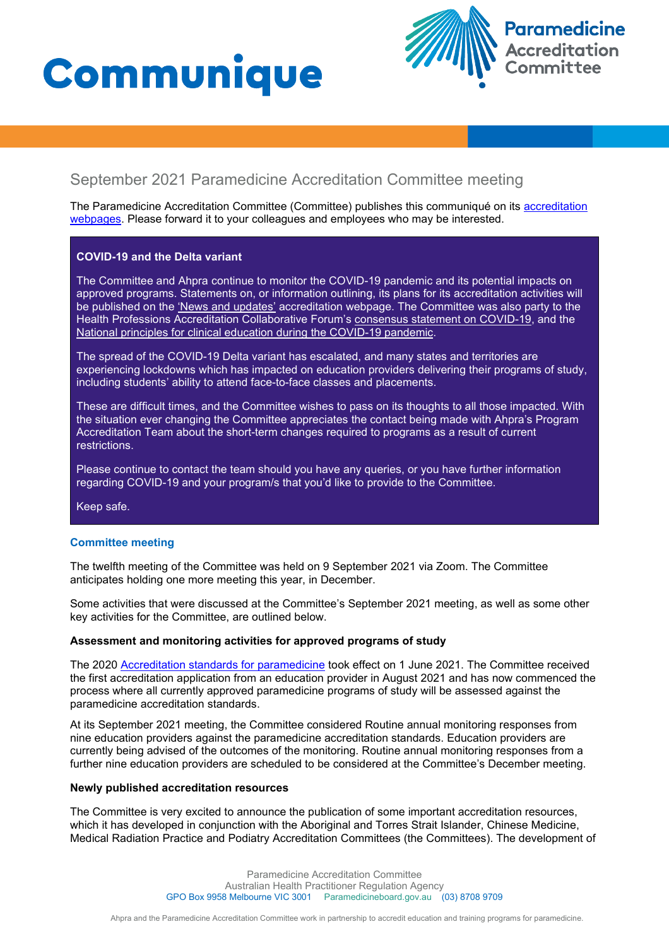# Communique



# September 2021 Paramedicine Accreditation Committee meeting

The Paramedicine Accreditation Committee (Committee) publishes this communiqué on its accreditation [webpages](https://www.paramedicineboard.gov.au/Accreditation.aspx). Please forward it to your colleagues and employees who may be interested.

# **COVID-19 and the Delta variant**

The Committee and Ahpra continue to monitor the COVID-19 pandemic and its potential impacts on approved programs. Statements on, or information outlining, its plans for its accreditation activities will be published on the ['News and updates'](https://www.paramedicineboard.gov.au/Accreditation/Updates.aspx) accreditation webpage. The Committee was also party to the Health Professions Accreditation Collaborative Forum's [consensus statement on COVID-19,](http://hpacf.org.au/wp-content/uploads/2021/03/2020-03-13-COVID-19-Forum.pdf) and the [National principles for clinical education during the COVID-19 pandemic.](http://hpacf.org.au/wp-content/uploads/2021/03/National-principles-for-clinical-education-during-the-COVID19-pandemic-FINAL-17.04.20_2.pdf)

The spread of the COVID-19 Delta variant has escalated, and many states and territories are experiencing lockdowns which has impacted on education providers delivering their programs of study, including students' ability to attend face-to-face classes and placements.

These are difficult times, and the Committee wishes to pass on its thoughts to all those impacted. With the situation ever changing the Committee appreciates the contact being made with Ahpra's Program Accreditation Team about the short-term changes required to programs as a result of current restrictions.

Please continue to contact the team should you have any queries, or you have further information regarding COVID-19 and your program/s that you'd like to provide to the Committee.

Keep safe.

# **Committee meeting**

The twelfth meeting of the Committee was held on 9 September 2021 via Zoom. The Committee anticipates holding one more meeting this year, in December.

Some activities that were discussed at the Committee's September 2021 meeting, as well as some other key activities for the Committee, are outlined below.

# **Assessment and monitoring activities for approved programs of study**

The 2020 [Accreditation standards for paramedicine](https://www.paramedicineboard.gov.au/Accreditation/Accreditation-publications-and-resources.aspx) took effect on 1 June 2021. The Committee received the first accreditation application from an education provider in August 2021 and has now commenced the process where all currently approved paramedicine programs of study will be assessed against the paramedicine accreditation standards.

At its September 2021 meeting, the Committee considered Routine annual monitoring responses from nine education providers against the paramedicine accreditation standards. Education providers are currently being advised of the outcomes of the monitoring. Routine annual monitoring responses from a further nine education providers are scheduled to be considered at the Committee's December meeting.

#### **Newly published accreditation resources**

The Committee is very excited to announce the publication of some important accreditation resources, which it has developed in conjunction with the Aboriginal and Torres Strait Islander, Chinese Medicine, Medical Radiation Practice and Podiatry Accreditation Committees (the Committees). The development of